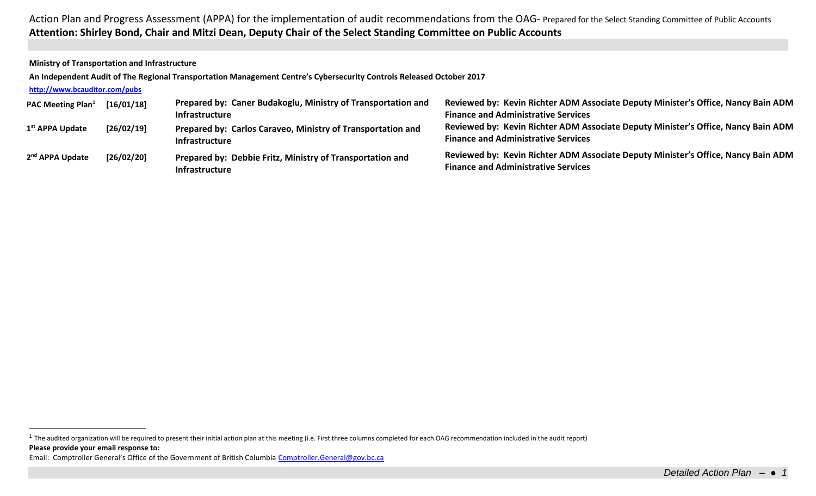**Ministry of Transportation and Infrastructure**

**An Independent Audit of The Regional Transportation Management Centre's Cybersecurity Controls Released October 2017**

## **<http://www.bcauditor.com/pubs>**

| <b>PAC Meeting Plan</b> <sup>1</sup> | [16/01/18] | Prepared by: Caner Budakoglu, Ministry of Transportation and<br><b>Infrastructure</b> | Reviewed by: Kevin Richter ADM Associate Deputy Minister's Office, Nancy Bain ADM<br><b>Finance and Administrative Services</b> |
|--------------------------------------|------------|---------------------------------------------------------------------------------------|---------------------------------------------------------------------------------------------------------------------------------|
| 1 <sup>st</sup> APPA Update          | [26/02/19] | Prepared by: Carlos Caraveo, Ministry of Transportation and<br><b>Infrastructure</b>  | Reviewed by: Kevin Richter ADM Associate Deputy Minister's Office, Nancy Bain ADM<br><b>Finance and Administrative Services</b> |
| 2 <sup>nd</sup> APPA Update          | [26/02/20] | Prepared by: Debbie Fritz, Ministry of Transportation and<br><b>Infrastructure</b>    | Reviewed by: Kevin Richter ADM Associate Deputy Minister's Office, Nancy Bain ADM<br><b>Finance and Administrative Services</b> |

**Please provide your email response to:** <sup>1</sup> The audited organization will be required to present their initial action plan at this meeting (i.e. First three columns completed for each OAG recommendation included in the audit report)

Email: Comptroller General's Office of the Government of British Columbia [Comptroller.General@gov.bc.ca](mailto:Comptroller.General@gov.bc.ca)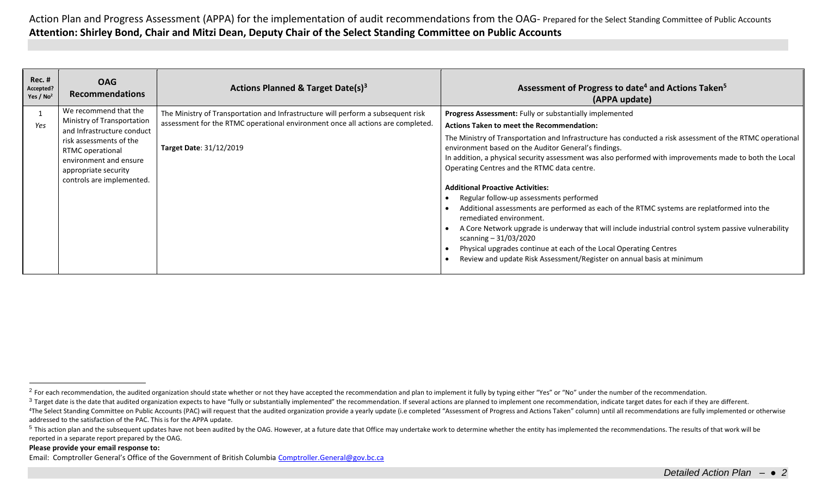| <b>Rec. #</b><br>Accepted?<br>Yes / $No2$ | <b>OAG</b><br><b>Recommendations</b>                                                                                       | Actions Planned & Target Date(s) <sup>3</sup>                                    | Assessment of Progress to date <sup>4</sup> and Actions Taken <sup>5</sup><br>(APPA update)                                                                                                                                                                                                                                                                                                                                                                                                                                                                                                                                                                                                                                                                                                                                |
|-------------------------------------------|----------------------------------------------------------------------------------------------------------------------------|----------------------------------------------------------------------------------|----------------------------------------------------------------------------------------------------------------------------------------------------------------------------------------------------------------------------------------------------------------------------------------------------------------------------------------------------------------------------------------------------------------------------------------------------------------------------------------------------------------------------------------------------------------------------------------------------------------------------------------------------------------------------------------------------------------------------------------------------------------------------------------------------------------------------|
|                                           | We recommend that the                                                                                                      | The Ministry of Transportation and Infrastructure will perform a subsequent risk | Progress Assessment: Fully or substantially implemented                                                                                                                                                                                                                                                                                                                                                                                                                                                                                                                                                                                                                                                                                                                                                                    |
| Yes                                       | Ministry of Transportation<br>and Infrastructure conduct                                                                   | assessment for the RTMC operational environment once all actions are completed.  | <b>Actions Taken to meet the Recommendation:</b>                                                                                                                                                                                                                                                                                                                                                                                                                                                                                                                                                                                                                                                                                                                                                                           |
|                                           | risk assessments of the<br>RTMC operational<br>environment and ensure<br>appropriate security<br>controls are implemented. | Target Date: 31/12/2019                                                          | The Ministry of Transportation and Infrastructure has conducted a risk assessment of the RTMC operational<br>environment based on the Auditor General's findings.<br>In addition, a physical security assessment was also performed with improvements made to both the Local<br>Operating Centres and the RTMC data centre.<br><b>Additional Proactive Activities:</b><br>Regular follow-up assessments performed<br>Additional assessments are performed as each of the RTMC systems are replatformed into the<br>remediated environment.<br>A Core Network upgrade is underway that will include industrial control system passive vulnerability<br>scanning $-31/03/2020$<br>Physical upgrades continue at each of the Local Operating Centres<br>Review and update Risk Assessment/Register on annual basis at minimum |

## **Please provide your email response to:**

Email: Comptroller General's Office of the Government of British Columbia [Comptroller.General@gov.bc.ca](mailto:Comptroller.General@gov.bc.ca)

<sup>&</sup>lt;sup>2</sup> For each recommendation, the audited organization should state whether or not they have accepted the recommendation and plan to implement it fully by typing either "Yes" or "No" under the number of the recommendation.

<sup>&</sup>lt;sup>3</sup> Target date is the date that audited organization expects to have "fully or substantially implemented" the recommendation. If several actions are planned to implement one recommendation, indicate target dates for each

<sup>&</sup>lt;sup>4</sup>The Select Standing Committee on Public Accounts (PAC) will request that the audited organization provide a yearly update (i.e completed "Assessment of Progress and Actions Taken" column) until all recommendations are f addressed to the satisfaction of the PAC. This is for the APPA update.

<sup>&</sup>lt;sup>5</sup> This action plan and the subsequent updates have not been audited by the OAG. However, at a future date that Office may undertake work to determine whether the entity has implemented the recommendations. The results of reported in a separate report prepared by the OAG.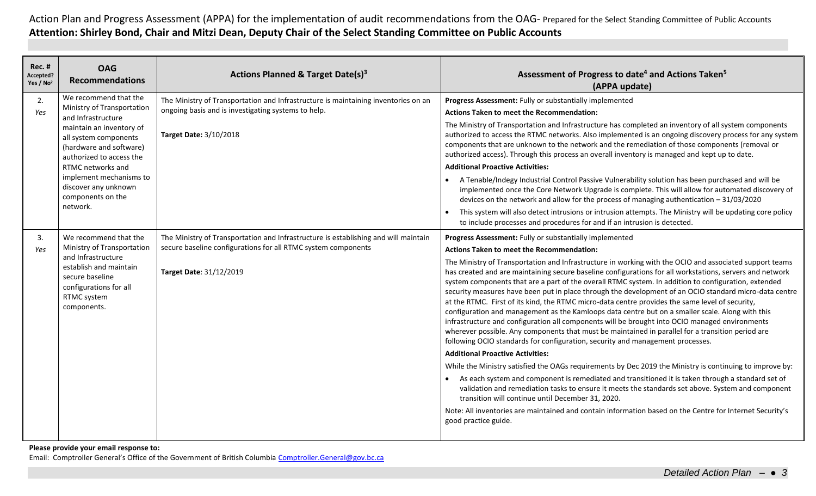| Rec. #<br>Accepted?<br>Yes / No <sup>2</sup> | <b>OAG</b><br><b>Recommendations</b>                                                                                                                                                                                                                                                           | Actions Planned & Target Date(s) <sup>3</sup>                                                                                                                                   | Assessment of Progress to date <sup>4</sup> and Actions Taken <sup>5</sup><br>(APPA update)                                                                                                                                                                                                                                                                                                                                                                                                                                                                                                                                                                                                                                                                                                                                                                                                                                                                                                                                                                                                                                                                                                                                                                                                                                                                                                                                                                                                                                                                                                                      |
|----------------------------------------------|------------------------------------------------------------------------------------------------------------------------------------------------------------------------------------------------------------------------------------------------------------------------------------------------|---------------------------------------------------------------------------------------------------------------------------------------------------------------------------------|------------------------------------------------------------------------------------------------------------------------------------------------------------------------------------------------------------------------------------------------------------------------------------------------------------------------------------------------------------------------------------------------------------------------------------------------------------------------------------------------------------------------------------------------------------------------------------------------------------------------------------------------------------------------------------------------------------------------------------------------------------------------------------------------------------------------------------------------------------------------------------------------------------------------------------------------------------------------------------------------------------------------------------------------------------------------------------------------------------------------------------------------------------------------------------------------------------------------------------------------------------------------------------------------------------------------------------------------------------------------------------------------------------------------------------------------------------------------------------------------------------------------------------------------------------------------------------------------------------------|
| 2.<br>Yes                                    | We recommend that the<br>Ministry of Transportation<br>and Infrastructure<br>maintain an inventory of<br>all system components<br>(hardware and software)<br>authorized to access the<br>RTMC networks and<br>implement mechanisms to<br>discover any unknown<br>components on the<br>network. | The Ministry of Transportation and Infrastructure is maintaining inventories on an<br>ongoing basis and is investigating systems to help.<br>Target Date: 3/10/2018             | Progress Assessment: Fully or substantially implemented<br><b>Actions Taken to meet the Recommendation:</b><br>The Ministry of Transportation and Infrastructure has completed an inventory of all system components<br>authorized to access the RTMC networks. Also implemented is an ongoing discovery process for any system<br>components that are unknown to the network and the remediation of those components (removal or<br>authorized access). Through this process an overall inventory is managed and kept up to date.<br><b>Additional Proactive Activities:</b><br>A Tenable/Indegy Industrial Control Passive Vulnerability solution has been purchased and will be<br>implemented once the Core Network Upgrade is complete. This will allow for automated discovery of<br>devices on the network and allow for the process of managing authentication $-31/03/2020$<br>This system will also detect intrusions or intrusion attempts. The Ministry will be updating core policy<br>to include processes and procedures for and if an intrusion is detected.                                                                                                                                                                                                                                                                                                                                                                                                                                                                                                                                     |
| 3.<br>Yes                                    | We recommend that the<br>Ministry of Transportation<br>and Infrastructure<br>establish and maintain<br>secure baseline<br>configurations for all<br>RTMC system<br>components.                                                                                                                 | The Ministry of Transportation and Infrastructure is establishing and will maintain<br>secure baseline configurations for all RTMC system components<br>Target Date: 31/12/2019 | Progress Assessment: Fully or substantially implemented<br><b>Actions Taken to meet the Recommendation:</b><br>The Ministry of Transportation and Infrastructure in working with the OCIO and associated support teams<br>has created and are maintaining secure baseline configurations for all workstations, servers and network<br>system components that are a part of the overall RTMC system. In addition to configuration, extended<br>security measures have been put in place through the development of an OCIO standard micro-data centre<br>at the RTMC. First of its kind, the RTMC micro-data centre provides the same level of security,<br>configuration and management as the Kamloops data centre but on a smaller scale. Along with this<br>infrastructure and configuration all components will be brought into OCIO managed environments<br>wherever possible. Any components that must be maintained in parallel for a transition period are<br>following OCIO standards for configuration, security and management processes.<br><b>Additional Proactive Activities:</b><br>While the Ministry satisfied the OAGs requirements by Dec 2019 the Ministry is continuing to improve by:<br>• As each system and component is remediated and transitioned it is taken through a standard set of<br>validation and remediation tasks to ensure it meets the standards set above. System and component<br>transition will continue until December 31, 2020.<br>Note: All inventories are maintained and contain information based on the Centre for Internet Security's<br>good practice guide. |

**Please provide your email response to:** Email: Comptroller General's Office of the Government of British Columbia [Comptroller.General@gov.bc.ca](mailto:Comptroller.General@gov.bc.ca)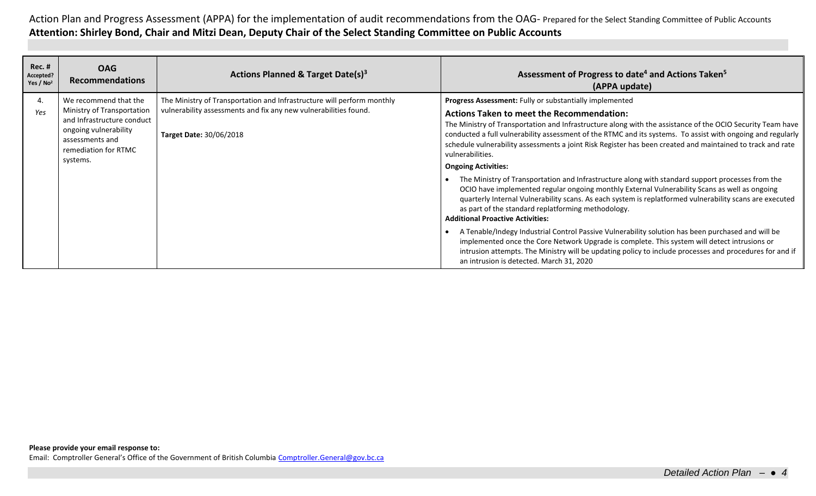| Rec. #<br>Accepted?<br>Yes / $No2$ | <b>OAG</b><br><b>Recommendations</b>                                                                                                                              | Actions Planned & Target Date(s) <sup>3</sup>                                                                                                                                | Assessment of Progress to date <sup>4</sup> and Actions Taken <sup>5</sup><br>(APPA update)                                                                                                                                                                                                                                                                                                                                                                                                                                                                                                                                                                                                                                                                                                                                                                                                                                                                                                                                                                                                                                                                                                                                                                                           |
|------------------------------------|-------------------------------------------------------------------------------------------------------------------------------------------------------------------|------------------------------------------------------------------------------------------------------------------------------------------------------------------------------|---------------------------------------------------------------------------------------------------------------------------------------------------------------------------------------------------------------------------------------------------------------------------------------------------------------------------------------------------------------------------------------------------------------------------------------------------------------------------------------------------------------------------------------------------------------------------------------------------------------------------------------------------------------------------------------------------------------------------------------------------------------------------------------------------------------------------------------------------------------------------------------------------------------------------------------------------------------------------------------------------------------------------------------------------------------------------------------------------------------------------------------------------------------------------------------------------------------------------------------------------------------------------------------|
| 4.<br>Yes                          | We recommend that the<br>Ministry of Transportation<br>and Infrastructure conduct<br>ongoing vulnerability<br>assessments and<br>remediation for RTMC<br>systems. | The Ministry of Transportation and Infrastructure will perform monthly<br>vulnerability assessments and fix any new vulnerabilities found.<br><b>Target Date: 30/06/2018</b> | Progress Assessment: Fully or substantially implemented<br><b>Actions Taken to meet the Recommendation:</b><br>The Ministry of Transportation and Infrastructure along with the assistance of the OCIO Security Team have<br>conducted a full vulnerability assessment of the RTMC and its systems. To assist with ongoing and regularly<br>schedule vulnerability assessments a joint Risk Register has been created and maintained to track and rate<br>vulnerabilities.<br><b>Ongoing Activities:</b><br>The Ministry of Transportation and Infrastructure along with standard support processes from the<br>OCIO have implemented regular ongoing monthly External Vulnerability Scans as well as ongoing<br>quarterly Internal Vulnerability scans. As each system is replatformed vulnerability scans are executed<br>as part of the standard replatforming methodology.<br><b>Additional Proactive Activities:</b><br>A Tenable/Indegy Industrial Control Passive Vulnerability solution has been purchased and will be<br>implemented once the Core Network Upgrade is complete. This system will detect intrusions or<br>intrusion attempts. The Ministry will be updating policy to include processes and procedures for and if<br>an intrusion is detected. March 31, 2020 |